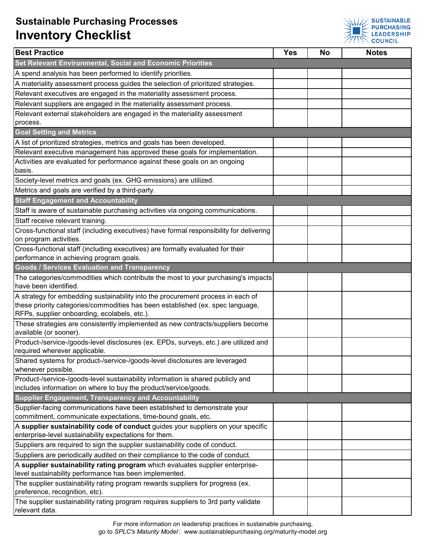## **Sustainable Purchasing Processes Inventory Checklist**



| <b>Best Practice</b>                                                                                                                               | <b>Yes</b> | <b>No</b> | <b>Notes</b> |
|----------------------------------------------------------------------------------------------------------------------------------------------------|------------|-----------|--------------|
| Set Relevant Environmental, Social and Economic Priorities                                                                                         |            |           |              |
| A spend analysis has been performed to identify priorities.                                                                                        |            |           |              |
| A materiality assessment process guides the selection of prioritized strategies.                                                                   |            |           |              |
| Relevant executives are engaged in the materiality assessment process.                                                                             |            |           |              |
| Relevant suppliers are engaged in the materiality assessment process.                                                                              |            |           |              |
| Relevant external stakeholders are engaged in the materiality assessment                                                                           |            |           |              |
| process.                                                                                                                                           |            |           |              |
| <b>Goal Setting and Metrics</b>                                                                                                                    |            |           |              |
| A list of prioritized strategies, metrics and goals has been developed.                                                                            |            |           |              |
| Relevant executive management has approved these goals for implementation.                                                                         |            |           |              |
| Activities are evaluated for performance against these goals on an ongoing                                                                         |            |           |              |
| basis.                                                                                                                                             |            |           |              |
| Society-level metrics and goals (ex. GHG emissions) are utilized.                                                                                  |            |           |              |
| Metrics and goals are verified by a third-party.                                                                                                   |            |           |              |
| <b>Staff Engagement and Accountability</b>                                                                                                         |            |           |              |
| Staff is aware of sustainable purchasing activities via ongoing communications.                                                                    |            |           |              |
| Staff receive relevant training.                                                                                                                   |            |           |              |
| Cross-functional staff (including executives) have formal responsibility for delivering                                                            |            |           |              |
| on program activities.                                                                                                                             |            |           |              |
| Cross-functional staff (including executives) are formally evaluated for their                                                                     |            |           |              |
| performance in achieving program goals.                                                                                                            |            |           |              |
| <b>Goods / Services Evaluation and Transparency</b>                                                                                                |            |           |              |
| The categories/commodities which contribute the most to your purchasing's impacts                                                                  |            |           |              |
| have been identified.                                                                                                                              |            |           |              |
| A strategy for embedding sustainability into the procurement process in each of                                                                    |            |           |              |
| these priority categories/commodities has been established (ex. spec language,                                                                     |            |           |              |
| RFPs, supplier onboarding, ecolabels, etc.).                                                                                                       |            |           |              |
| These strategies are consistently implemented as new contracts/suppliers become                                                                    |            |           |              |
| available (or sooner).                                                                                                                             |            |           |              |
| Product-/service-/goods-level disclosures (ex. EPDs, surveys, etc.) are utilized and                                                               |            |           |              |
| required wherever applicable.                                                                                                                      |            |           |              |
| Shared systems for product-/service-/goods-level disclosures are leveraged                                                                         |            |           |              |
| whenever possible.                                                                                                                                 |            |           |              |
| Product-/service-/goods-level sustainability information is shared publicly and<br>includes information on where to buy the product/service/goods. |            |           |              |
| Supplier Engagement, Transparency and Accountability                                                                                               |            |           |              |
| Supplier-facing communications have been established to demonstrate your                                                                           |            |           |              |
| commitment, communicate expectations, time-bound goals, etc.                                                                                       |            |           |              |
| A supplier sustainability code of conduct guides your suppliers on your specific                                                                   |            |           |              |
| enterprise-level sustainability expectations for them.                                                                                             |            |           |              |
| Suppliers are required to sign the supplier sustainability code of conduct.                                                                        |            |           |              |
| Suppliers are periodically audited on their compliance to the code of conduct.                                                                     |            |           |              |
| A supplier sustainability rating program which evaluates supplier enterprise-                                                                      |            |           |              |
| level sustainability performance has been implemented.                                                                                             |            |           |              |
| The supplier sustainability rating program rewards suppliers for progress (ex.                                                                     |            |           |              |
| preference, recognition, etc).                                                                                                                     |            |           |              |
| The supplier sustainability rating program requires suppliers to 3rd party validate                                                                |            |           |              |
| relevant data.                                                                                                                                     |            |           |              |

For more information on leadership practices in sustainable purchasing,